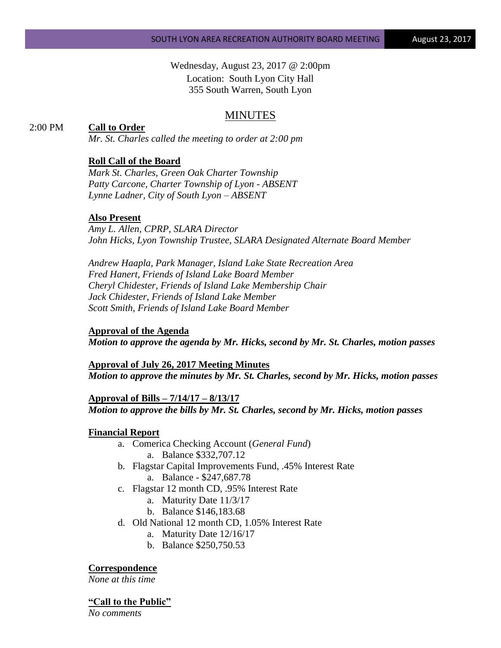Wednesday, August 23, 2017 @ 2:00pm Location: South Lyon City Hall 355 South Warren, South Lyon

## MINUTES

## 2:00 PM **Call to Order**

*Mr. St. Charles called the meeting to order at 2:00 pm*

### **Roll Call of the Board**

*Mark St. Charles, Green Oak Charter Township Patty Carcone, Charter Township of Lyon - ABSENT Lynne Ladner, City of South Lyon – ABSENT* 

### **Also Present**

*Amy L. Allen, CPRP, SLARA Director John Hicks, Lyon Township Trustee, SLARA Designated Alternate Board Member*

*Andrew Haapla, Park Manager, Island Lake State Recreation Area Fred Hanert, Friends of Island Lake Board Member Cheryl Chidester, Friends of Island Lake Membership Chair Jack Chidester, Friends of Island Lake Member Scott Smith, Friends of Island Lake Board Member*

### **Approval of the Agenda**

*Motion to approve the agenda by Mr. Hicks, second by Mr. St. Charles, motion passes*

**Approval of July 26, 2017 Meeting Minutes** *Motion to approve the minutes by Mr. St. Charles, second by Mr. Hicks, motion passes*

**Approval of Bills – 7/14/17 – 8/13/17** *Motion to approve the bills by Mr. St. Charles, second by Mr. Hicks, motion passes*

### **Financial Report**

- a. Comerica Checking Account (*General Fund*) a. Balance \$332,707.12
- b. Flagstar Capital Improvements Fund, .45% Interest Rate a. Balance - \$247,687.78
- c. Flagstar 12 month CD, .95% Interest Rate
	- a. Maturity Date 11/3/17
	- b. Balance \$146,183.68
- d. Old National 12 month CD, 1.05% Interest Rate
	- a. Maturity Date 12/16/17
	- b. Balance \$250,750.53

### **Correspondence**

*None at this time*

#### **"Call to the Public"**

*No comments*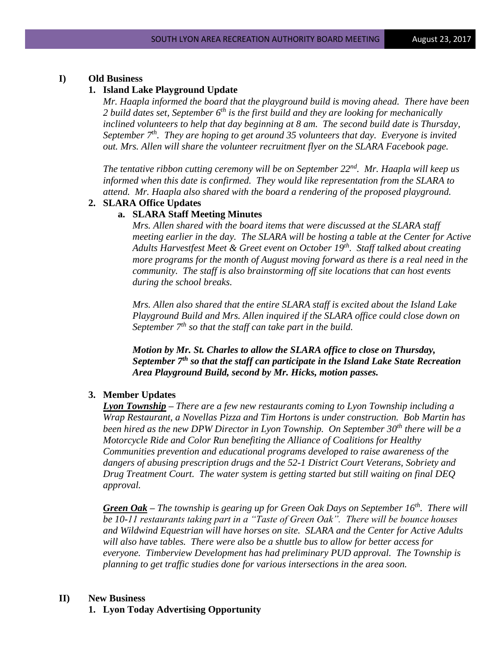### **I) Old Business**

## **1. Island Lake Playground Update**

*Mr. Haapla informed the board that the playground build is moving ahead. There have been 2 build dates set, September 6th is the first build and they are looking for mechanically inclined volunteers to help that day beginning at 8 am. The second build date is Thursday, September 7th. They are hoping to get around 35 volunteers that day. Everyone is invited out. Mrs. Allen will share the volunteer recruitment flyer on the SLARA Facebook page.* 

*The tentative ribbon cutting ceremony will be on September 22nd. Mr. Haapla will keep us informed when this date is confirmed. They would like representation from the SLARA to attend. Mr. Haapla also shared with the board a rendering of the proposed playground.*

## **2. SLARA Office Updates**

### **a. SLARA Staff Meeting Minutes**

*Mrs. Allen shared with the board items that were discussed at the SLARA staff meeting earlier in the day. The SLARA will be hosting a table at the Center for Active Adults Harvestfest Meet & Greet event on October 19th . Staff talked about creating more programs for the month of August moving forward as there is a real need in the community. The staff is also brainstorming off site locations that can host events during the school breaks.* 

*Mrs. Allen also shared that the entire SLARA staff is excited about the Island Lake Playground Build and Mrs. Allen inquired if the SLARA office could close down on September 7th so that the staff can take part in the build.*

*Motion by Mr. St. Charles to allow the SLARA office to close on Thursday, September 7th so that the staff can participate in the Island Lake State Recreation Area Playground Build, second by Mr. Hicks, motion passes.*

### **3. Member Updates**

*Lyon Township – There are a few new restaurants coming to Lyon Township including a Wrap Restaurant, a Novellas Pizza and Tim Hortons is under construction. Bob Martin has been hired as the new DPW Director in Lyon Township. On September 30th there will be a Motorcycle Ride and Color Run benefiting the Alliance of Coalitions for Healthy Communities prevention and educational programs developed to raise awareness of the dangers of abusing prescription drugs and the 52-1 District Court Veterans, Sobriety and Drug Treatment Court. The water system is getting started but still waiting on final DEQ approval.*

*Green Oak – The township is gearing up for Green Oak Days on September 16th. There will be 10-11 restaurants taking part in a "Taste of Green Oak". There will be bounce houses and Wildwind Equestrian will have horses on site. SLARA and the Center for Active Adults will also have tables. There were also be a shuttle bus to allow for better access for everyone. Timberview Development has had preliminary PUD approval. The Township is planning to get traffic studies done for various intersections in the area soon.*

### **II) New Business**

**1. Lyon Today Advertising Opportunity**